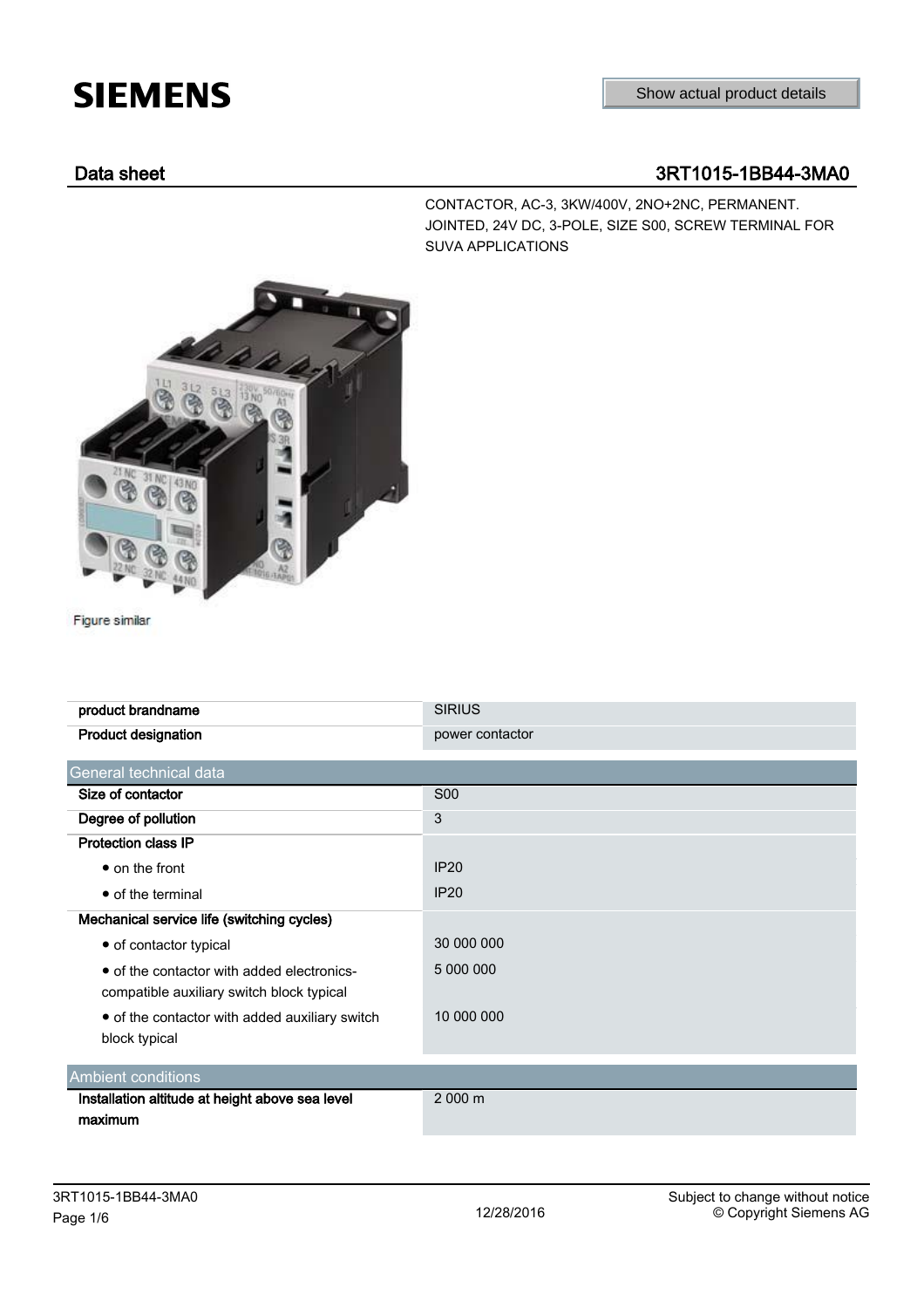## **SIEMENS**

## Data sheet 3RT1015-1BB44-3MA0

CONTACTOR, AC-3, 3KW/400V, 2NO+2NC, PERMANENT. JOINTED, 24V DC, 3-POLE, SIZE S00, SCREW TERMINAL FOR SUVA APPLICATIONS



Figure similar

| product brandname                                                                       | <b>SIRIUS</b>   |
|-----------------------------------------------------------------------------------------|-----------------|
| Product designation                                                                     | power contactor |
| General technical data                                                                  |                 |
| Size of contactor                                                                       | <b>S00</b>      |
| Degree of pollution                                                                     | 3               |
| <b>Protection class IP</b>                                                              |                 |
| $\bullet$ on the front                                                                  | IP20            |
| • of the terminal                                                                       | IP20            |
| Mechanical service life (switching cycles)                                              |                 |
| • of contactor typical                                                                  | 30 000 000      |
| • of the contactor with added electronics-<br>compatible auxiliary switch block typical | 5 000 000       |
| • of the contactor with added auxiliary switch<br>block typical                         | 10 000 000      |
| <b>Ambient conditions</b>                                                               |                 |
| Installation altitude at height above sea level                                         | 2000 m          |
| maximum                                                                                 |                 |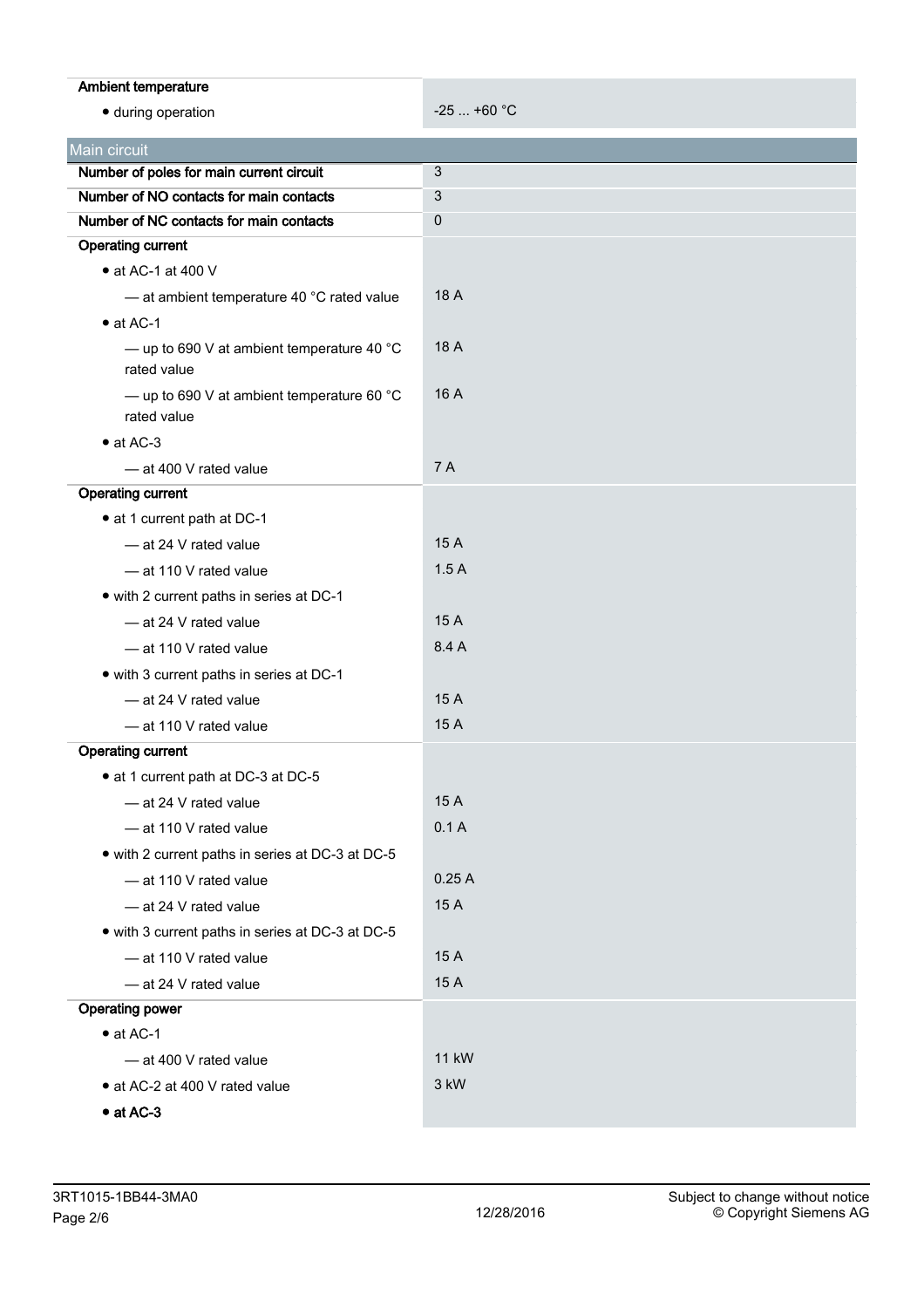| Ambient temperature                                                                |              |  |
|------------------------------------------------------------------------------------|--------------|--|
| · during operation                                                                 | $-25$ +60 °C |  |
|                                                                                    |              |  |
| Main circuit                                                                       |              |  |
| Number of poles for main current circuit                                           | 3            |  |
| Number of NO contacts for main contacts<br>Number of NC contacts for main contacts | 3            |  |
| <b>Operating current</b>                                                           | 0            |  |
| $\bullet$ at AC-1 at 400 V                                                         |              |  |
|                                                                                    | 18 A         |  |
| - at ambient temperature 40 °C rated value<br>$\bullet$ at AC-1                    |              |  |
| - up to 690 V at ambient temperature 40 $^{\circ}$ C<br>rated value                | 18 A         |  |
| - up to 690 V at ambient temperature 60 $^{\circ}$ C<br>rated value                | 16 A         |  |
| $\bullet$ at AC-3                                                                  |              |  |
| - at 400 V rated value                                                             | <b>7A</b>    |  |
| <b>Operating current</b>                                                           |              |  |
| • at 1 current path at DC-1                                                        |              |  |
| - at 24 V rated value                                                              | 15 A         |  |
| - at 110 V rated value                                                             | 1.5A         |  |
| • with 2 current paths in series at DC-1                                           |              |  |
| - at 24 V rated value                                                              | 15 A         |  |
| - at 110 V rated value                                                             | 8.4 A        |  |
| • with 3 current paths in series at DC-1                                           |              |  |
| - at 24 V rated value                                                              | 15 A         |  |
| - at 110 V rated value                                                             | 15 A         |  |
| <b>Operating current</b>                                                           |              |  |
| • at 1 current path at DC-3 at DC-5                                                |              |  |
| - at 24 V rated value                                                              | 15 A         |  |
| - at 110 V rated value                                                             | 0.1A         |  |
| • with 2 current paths in series at DC-3 at DC-5                                   |              |  |
| - at 110 V rated value                                                             | 0.25A        |  |
| - at 24 V rated value                                                              | 15 A         |  |
| • with 3 current paths in series at DC-3 at DC-5                                   |              |  |
| - at 110 V rated value                                                             | 15 A         |  |
| - at 24 V rated value                                                              | 15 A         |  |
| <b>Operating power</b>                                                             |              |  |
| $\bullet$ at AC-1                                                                  |              |  |
| - at 400 V rated value                                                             | <b>11 kW</b> |  |
| • at AC-2 at 400 V rated value                                                     | 3 kW         |  |
| $\bullet$ at AC-3                                                                  |              |  |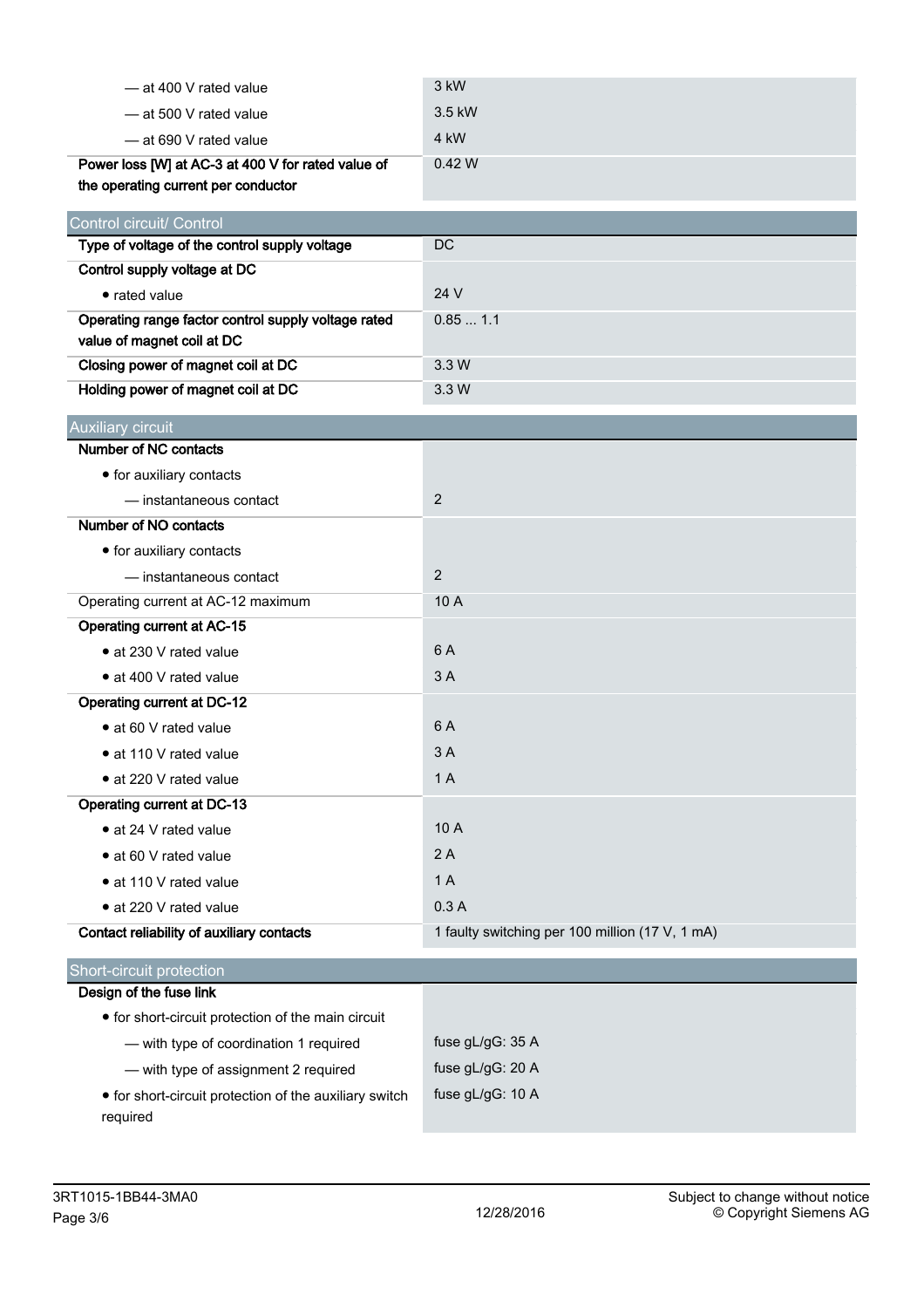| - at 400 V rated value                                                            | 3 kW                                            |
|-----------------------------------------------------------------------------------|-------------------------------------------------|
| — at 500 V rated value                                                            | 3.5 kW                                          |
| -at 690 V rated value                                                             | 4 kW                                            |
| Power loss [W] at AC-3 at 400 V for rated value of                                | 0.42W                                           |
| the operating current per conductor                                               |                                                 |
| Control circuit/ Control                                                          |                                                 |
| Type of voltage of the control supply voltage                                     | DC                                              |
| Control supply voltage at DC                                                      |                                                 |
| • rated value                                                                     | 24 V                                            |
| Operating range factor control supply voltage rated<br>value of magnet coil at DC | 0.851.1                                         |
| Closing power of magnet coil at DC                                                | 3.3 W                                           |
| Holding power of magnet coil at DC                                                | 3.3 W                                           |
| Auxiliary circuit                                                                 |                                                 |
| Number of NC contacts                                                             |                                                 |
| • for auxiliary contacts                                                          |                                                 |
| - instantaneous contact                                                           | $\overline{2}$                                  |
| Number of NO contacts                                                             |                                                 |
| • for auxiliary contacts                                                          |                                                 |
| - instantaneous contact                                                           | $\overline{2}$                                  |
| Operating current at AC-12 maximum                                                | 10 A                                            |
| <b>Operating current at AC-15</b>                                                 |                                                 |
| • at 230 V rated value                                                            | 6 A                                             |
| • at 400 V rated value                                                            | 3A                                              |
| <b>Operating current at DC-12</b>                                                 |                                                 |
| • at 60 V rated value                                                             | 6 A                                             |
| • at 110 V rated value                                                            | 3A                                              |
| · at 220 V rated value                                                            | 1A                                              |
| Operating current at DC-13                                                        |                                                 |
| • at 24 V rated value                                                             | 10 A                                            |
| • at 60 V rated value                                                             | 2A                                              |
| • at 110 V rated value                                                            | 1A                                              |
| • at 220 V rated value                                                            | 0.3A                                            |
| Contact reliability of auxiliary contacts                                         | 1 faulty switching per 100 million (17 V, 1 mA) |
| Short-circuit protection                                                          |                                                 |
| Design of the fuse link                                                           |                                                 |
| • for short-circuit protection of the main circuit                                |                                                 |
| - with type of coordination 1 required                                            | fuse gL/gG: 35 A                                |
| - with type of assignment 2 required                                              | fuse gL/gG: 20 A                                |
| • for short-circuit protection of the auxiliary switch<br>required                | fuse gL/gG: 10 A                                |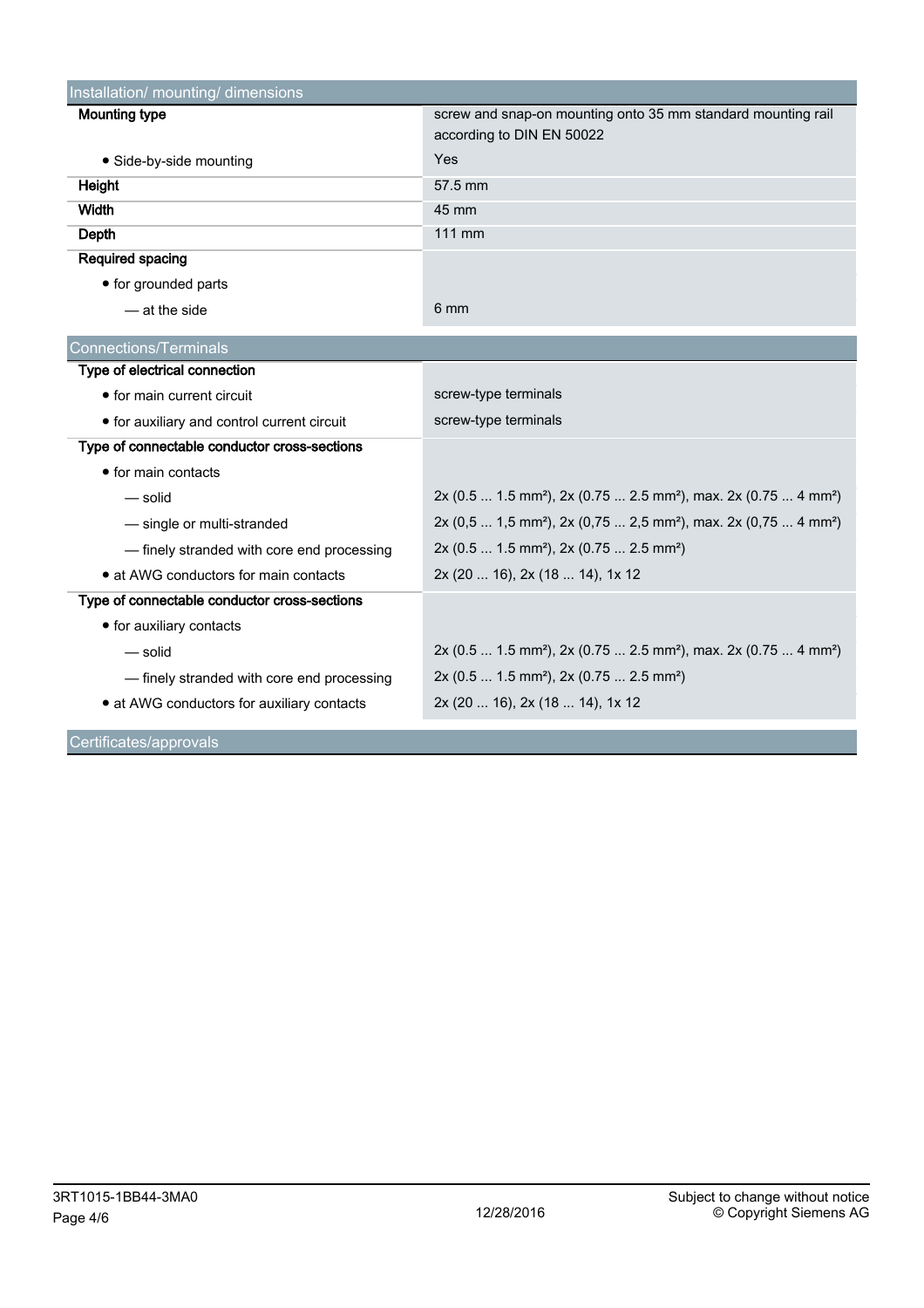| Installation/ mounting/ dimensions                            |                                                                                                     |  |  |  |  |
|---------------------------------------------------------------|-----------------------------------------------------------------------------------------------------|--|--|--|--|
| <b>Mounting type</b>                                          | screw and snap-on mounting onto 35 mm standard mounting rail<br>according to DIN EN 50022           |  |  |  |  |
| • Side-by-side mounting                                       | Yes                                                                                                 |  |  |  |  |
| Height                                                        | 57.5 mm                                                                                             |  |  |  |  |
| Width                                                         | 45 mm                                                                                               |  |  |  |  |
| Depth                                                         | 111 mm                                                                                              |  |  |  |  |
| Required spacing                                              |                                                                                                     |  |  |  |  |
| • for grounded parts                                          |                                                                                                     |  |  |  |  |
| - at the side                                                 | 6 mm                                                                                                |  |  |  |  |
|                                                               |                                                                                                     |  |  |  |  |
| <b>Connections/Terminals</b><br>Type of electrical connection |                                                                                                     |  |  |  |  |
| • for main current circuit                                    |                                                                                                     |  |  |  |  |
|                                                               | screw-type terminals                                                                                |  |  |  |  |
| • for auxiliary and control current circuit                   | screw-type terminals                                                                                |  |  |  |  |
| Type of connectable conductor cross-sections                  |                                                                                                     |  |  |  |  |
| • for main contacts                                           |                                                                                                     |  |  |  |  |
| — solid                                                       | 2x (0.5  1.5 mm <sup>2</sup> ), 2x (0.75  2.5 mm <sup>2</sup> ), max. 2x (0.75  4 mm <sup>2</sup> ) |  |  |  |  |
| - single or multi-stranded                                    | 2x (0,5  1,5 mm <sup>2</sup> ), 2x (0,75  2,5 mm <sup>2</sup> ), max. 2x (0,75  4 mm <sup>2</sup> ) |  |  |  |  |
| - finely stranded with core end processing                    | 2x (0.5  1.5 mm <sup>2</sup> ), 2x (0.75  2.5 mm <sup>2</sup> )                                     |  |  |  |  |
| • at AWG conductors for main contacts                         | 2x (20  16), 2x (18  14), 1x 12                                                                     |  |  |  |  |
| Type of connectable conductor cross-sections                  |                                                                                                     |  |  |  |  |
| • for auxiliary contacts                                      |                                                                                                     |  |  |  |  |
| — solid                                                       | 2x (0.5  1.5 mm <sup>2</sup> ), 2x (0.75  2.5 mm <sup>2</sup> ), max. 2x (0.75  4 mm <sup>2</sup> ) |  |  |  |  |
| - finely stranded with core end processing                    | 2x (0.5  1.5 mm <sup>2</sup> ), 2x (0.75  2.5 mm <sup>2</sup> )                                     |  |  |  |  |
| • at AWG conductors for auxiliary contacts                    | 2x (20  16), 2x (18  14), 1x 12                                                                     |  |  |  |  |

Certificates/approvals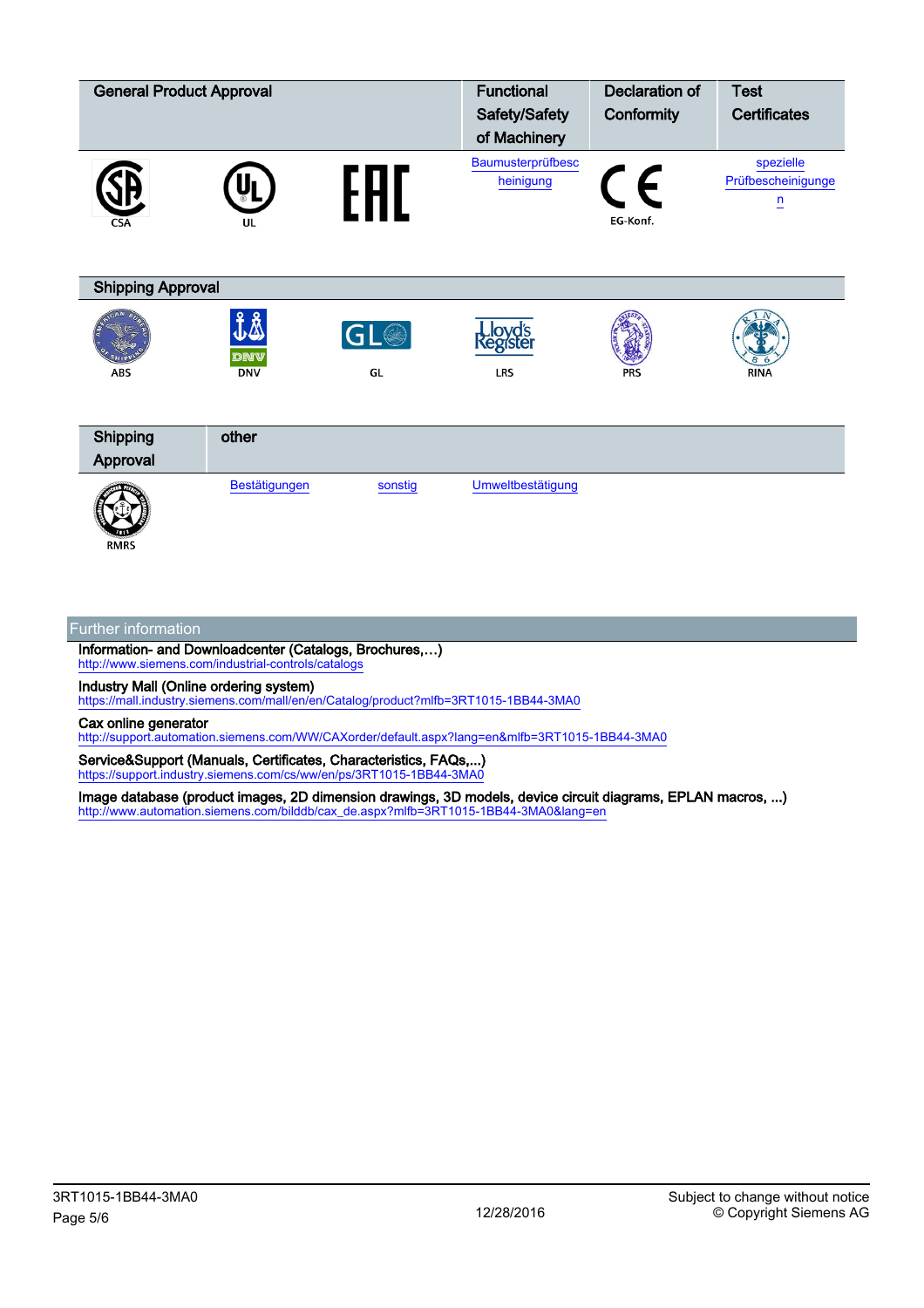| <b>General Product Approval</b> |                         |         | <b>Functional</b>              | <b>Declaration of</b>               | <b>Test</b>                                       |  |  |  |
|---------------------------------|-------------------------|---------|--------------------------------|-------------------------------------|---------------------------------------------------|--|--|--|
|                                 |                         |         | Safety/Safety                  | Conformity                          | <b>Certificates</b>                               |  |  |  |
|                                 |                         |         | of Machinery                   |                                     |                                                   |  |  |  |
| CSA                             | UL                      |         | Baumusterprüfbesc<br>heinigung | $\boldsymbol{\epsilon}$<br>EG-Konf. | spezielle<br>Prüfbescheinigunge<br>$\overline{u}$ |  |  |  |
| <b>Shipping Approval</b>        |                         |         |                                |                                     |                                                   |  |  |  |
|                                 | <b>JA</b><br><b>DNV</b> | GL®     | <b>Lloyd's</b><br>Register     |                                     |                                                   |  |  |  |
| <b>ABS</b>                      | <b>DNV</b>              | GL      | LRS                            | <b>PRS</b>                          | <b>RINA</b>                                       |  |  |  |
| Shipping<br>Approval            | other                   |         |                                |                                     |                                                   |  |  |  |
| <b>RMRS</b>                     | Bestätigungen           | sonstig | Umweltbestätigung              |                                     |                                                   |  |  |  |

## Further information

Information- and Downloadcenter (Catalogs, Brochures,…) <http://www.siemens.com/industrial-controls/catalogs>

Industry Mall (Online ordering system)

<https://mall.industry.siemens.com/mall/en/en/Catalog/product?mlfb=3RT1015-1BB44-3MA0>

Cax online generator

<http://support.automation.siemens.com/WW/CAXorder/default.aspx?lang=en&mlfb=3RT1015-1BB44-3MA0>

Service&Support (Manuals, Certificates, Characteristics, FAQs,...) <https://support.industry.siemens.com/cs/ww/en/ps/3RT1015-1BB44-3MA0>

Image database (product images, 2D dimension drawings, 3D models, device circuit diagrams, EPLAN macros, ...) [http://www.automation.siemens.com/bilddb/cax\\_de.aspx?mlfb=3RT1015-1BB44-3MA0&lang=en](http://www.automation.siemens.com/bilddb/cax_de.aspx?mlfb=3RT1015-1BB44-3MA0&lang=en)